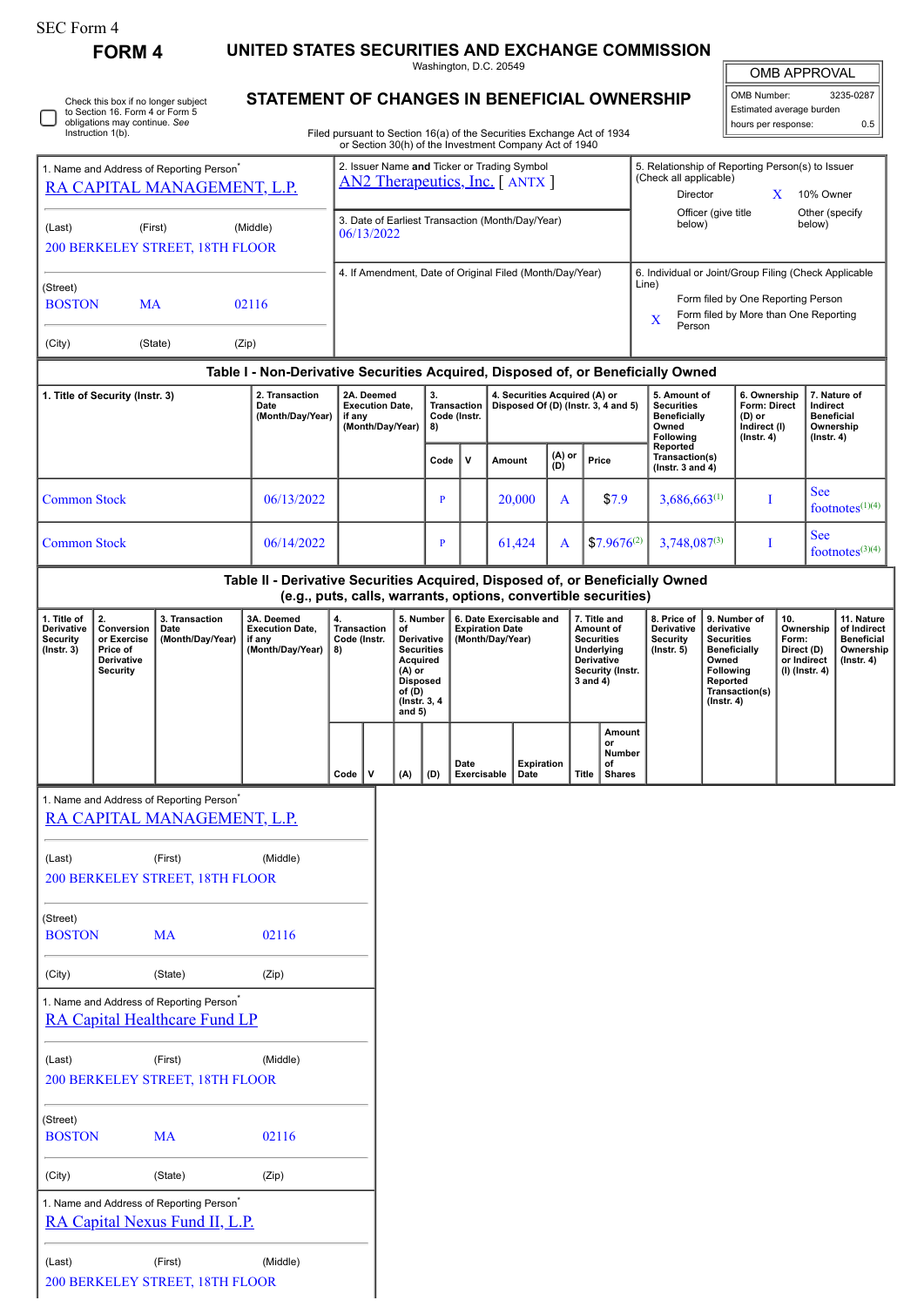| SEC Form 4 |  |
|------------|--|
|------------|--|

∩

Check this box if no longer subject to Section 16. Form 4 or Form 5 obligations may continue. *See* Instruction 1(b).

**FORM 4 UNITED STATES SECURITIES AND EXCHANGE COMMISSION**

Washington, D.C. 20549

| <b>OMB APPROVAL</b>      |           |  |  |  |  |  |
|--------------------------|-----------|--|--|--|--|--|
| OMB Number:              | 3235-0287 |  |  |  |  |  |
| Estimated average burden |           |  |  |  |  |  |

**STATEMENT OF CHANGES IN BENEFICIAL OWNERSHIP** hours per response: 0.5

Filed pursuant to Section 16(a) of the Securities Exchange Act of 1934 or Section 30(h) of the Investment Company Act of 1940

| 1. Name and Address of Reporting Person <sup>*</sup><br>RA CAPITAL MANAGEMENT, L.P. |                                                                                                                                                 |                                                                                              |                                                                    | 2. Issuer Name and Ticker or Trading Symbol<br><b>AN2 Therapeutics, Inc.</b> [ANTX ] |                                                          |                                                |                                                                                 |                                    |                                                                                                                             |                    |               |                                                             | 5. Relationship of Reporting Person(s) to Issuer<br>(Check all applicable)<br>Director<br>X<br>10% Owner |                                                                                                                                                              |                                                           |                                                                            |  |                                                                                 |  |  |
|-------------------------------------------------------------------------------------|-------------------------------------------------------------------------------------------------------------------------------------------------|----------------------------------------------------------------------------------------------|--------------------------------------------------------------------|--------------------------------------------------------------------------------------|----------------------------------------------------------|------------------------------------------------|---------------------------------------------------------------------------------|------------------------------------|-----------------------------------------------------------------------------------------------------------------------------|--------------------|---------------|-------------------------------------------------------------|----------------------------------------------------------------------------------------------------------|--------------------------------------------------------------------------------------------------------------------------------------------------------------|-----------------------------------------------------------|----------------------------------------------------------------------------|--|---------------------------------------------------------------------------------|--|--|
| (Last)                                                                              | (First)<br>(Middle)<br>200 BERKELEY STREET, 18TH FLOOR                                                                                          |                                                                                              |                                                                    |                                                                                      |                                                          |                                                | 3. Date of Earliest Transaction (Month/Day/Year)<br>06/13/2022                  |                                    |                                                                                                                             |                    |               |                                                             |                                                                                                          |                                                                                                                                                              | Officer (give title<br>Other (specify<br>below)<br>below) |                                                                            |  |                                                                                 |  |  |
| (Street)                                                                            | <b>BOSTON</b><br><b>MA</b><br>02116                                                                                                             |                                                                                              |                                                                    |                                                                                      | 4. If Amendment, Date of Original Filed (Month/Day/Year) |                                                |                                                                                 |                                    |                                                                                                                             |                    |               |                                                             |                                                                                                          | 6. Individual or Joint/Group Filing (Check Applicable<br>Line)<br>Form filed by One Reporting Person<br>Form filed by More than One Reporting<br>X<br>Person |                                                           |                                                                            |  |                                                                                 |  |  |
| (City)                                                                              |                                                                                                                                                 | (State)                                                                                      | (Zip)                                                              |                                                                                      |                                                          |                                                |                                                                                 |                                    |                                                                                                                             |                    |               |                                                             |                                                                                                          |                                                                                                                                                              |                                                           |                                                                            |  |                                                                                 |  |  |
| Table I - Non-Derivative Securities Acquired, Disposed of, or Beneficially Owned    |                                                                                                                                                 |                                                                                              |                                                                    |                                                                                      |                                                          |                                                |                                                                                 |                                    |                                                                                                                             |                    |               |                                                             |                                                                                                          |                                                                                                                                                              |                                                           |                                                                            |  |                                                                                 |  |  |
|                                                                                     | 2. Transaction<br>1. Title of Security (Instr. 3)<br>Date<br>(Month/Day/Year)                                                                   |                                                                                              |                                                                    | 2A. Deemed<br><b>Execution Date,</b><br>if any<br>(Month/Day/Year)                   |                                                          |                                                | 3.<br>8)                                                                        | <b>Transaction</b><br>Code (Instr. | 4. Securities Acquired (A) or<br>Disposed Of (D) (Instr. 3, 4 and 5)                                                        |                    |               |                                                             |                                                                                                          | 5. Amount of<br><b>Securities</b><br><b>Beneficially</b><br>Owned<br>Following<br>Reported                                                                   |                                                           | 6. Ownership<br>Form: Direct<br>(D) or<br>Indirect (I)<br>$($ lnstr. 4 $)$ |  | 7. Nature of<br>Indirect<br><b>Beneficial</b><br>Ownership<br>$($ Instr. 4 $)$  |  |  |
|                                                                                     |                                                                                                                                                 |                                                                                              |                                                                    |                                                                                      |                                                          |                                                | Code                                                                            | v                                  |                                                                                                                             | Amount             | (A) or<br>(D) |                                                             | Price                                                                                                    | Transaction(s)<br>( $lnstr. 3 and 4$ )                                                                                                                       |                                                           |                                                                            |  |                                                                                 |  |  |
| <b>Common Stock</b>                                                                 |                                                                                                                                                 |                                                                                              | 06/13/2022                                                         |                                                                                      |                                                          |                                                | P                                                                               |                                    |                                                                                                                             | 20,000             | A             |                                                             | \$7.9                                                                                                    | $3,686,663^{(1)}$                                                                                                                                            |                                                           | I                                                                          |  | <b>See</b><br>footnotes $(1)(4)$                                                |  |  |
| <b>Common Stock</b>                                                                 |                                                                                                                                                 |                                                                                              | 06/14/2022                                                         |                                                                                      |                                                          |                                                | P                                                                               |                                    |                                                                                                                             | 61,424             | A             |                                                             | $$7.9676^{(2)}$                                                                                          | $3,748,087^{(3)}$                                                                                                                                            |                                                           | I                                                                          |  | <b>See</b><br>footnotes $(3)(4)$                                                |  |  |
|                                                                                     | Table II - Derivative Securities Acquired, Disposed of, or Beneficially Owned<br>(e.g., puts, calls, warrants, options, convertible securities) |                                                                                              |                                                                    |                                                                                      |                                                          |                                                |                                                                                 |                                    |                                                                                                                             |                    |               |                                                             |                                                                                                          |                                                                                                                                                              |                                                           |                                                                            |  |                                                                                 |  |  |
| 1. Title of<br>Derivative<br><b>Security</b><br>$($ Instr. 3 $)$                    | 2.<br>Conversion<br>or Exercise<br>Price of<br>Derivative<br>Security                                                                           | 3. Transaction<br>Date<br>(Month/Day/Year)                                                   | 3A. Deemed<br><b>Execution Date,</b><br>if any<br>(Month/Day/Year) | 4.<br><b>Transaction</b><br>Code (Instr.<br>8)                                       |                                                          | of<br>Acquired<br>(A) or<br>of (D)<br>and $5)$ | 5. Number<br>Derivative<br><b>Securities</b><br><b>Disposed</b><br>(Instr. 3, 4 |                                    | 6. Date Exercisable and<br><b>Expiration Date</b><br><b>Securities</b><br>(Month/Day/Year)<br><b>Derivative</b><br>3 and 4) |                    |               | 7. Title and<br>Amount of<br>Underlying<br>Security (Instr. | 8. Price of<br>Derivative<br><b>Security</b><br>$($ Instr. 5 $)$                                         | 9. Number of<br>derivative<br><b>Securities</b><br><b>Beneficially</b><br>Owned<br>Following<br>Reported<br>Transaction(s)<br>$($ Instr. 4 $)$               |                                                           | 10.<br>Ownership<br>Form:<br>Direct (D)<br>or Indirect<br>(I) (Instr. 4)   |  | 11. Nature<br>of Indirect<br><b>Beneficial</b><br>Ownership<br>$($ Instr. 4 $)$ |  |  |
|                                                                                     |                                                                                                                                                 |                                                                                              |                                                                    | l V<br>Code                                                                          |                                                          | (A)                                            | (D)                                                                             | Date<br>Exercisable                |                                                                                                                             | Expiration<br>Date |               | <b>Title</b>                                                | Amount<br>or<br>Number<br>of<br><b>Shares</b>                                                            |                                                                                                                                                              |                                                           |                                                                            |  |                                                                                 |  |  |
|                                                                                     |                                                                                                                                                 | 1. Name and Address of Reporting Person <sup>7</sup><br>RA CAPITAL MANAGEMENT, L.P.          |                                                                    |                                                                                      |                                                          |                                                |                                                                                 |                                    |                                                                                                                             |                    |               |                                                             |                                                                                                          |                                                                                                                                                              |                                                           |                                                                            |  |                                                                                 |  |  |
| (Last)                                                                              |                                                                                                                                                 | (First)<br>200 BERKELEY STREET, 18TH FLOOR                                                   | (Middle)                                                           |                                                                                      |                                                          |                                                |                                                                                 |                                    |                                                                                                                             |                    |               |                                                             |                                                                                                          |                                                                                                                                                              |                                                           |                                                                            |  |                                                                                 |  |  |
| (Street)<br><b>BOSTON</b>                                                           |                                                                                                                                                 | <b>MA</b>                                                                                    | 02116                                                              |                                                                                      |                                                          |                                                |                                                                                 |                                    |                                                                                                                             |                    |               |                                                             |                                                                                                          |                                                                                                                                                              |                                                           |                                                                            |  |                                                                                 |  |  |
| (City)                                                                              |                                                                                                                                                 | (State)                                                                                      | (Zip)                                                              |                                                                                      |                                                          |                                                |                                                                                 |                                    |                                                                                                                             |                    |               |                                                             |                                                                                                          |                                                                                                                                                              |                                                           |                                                                            |  |                                                                                 |  |  |
|                                                                                     |                                                                                                                                                 | 1. Name and Address of Reporting Person <sup>*</sup><br><b>RA Capital Healthcare Fund LP</b> |                                                                    |                                                                                      |                                                          |                                                |                                                                                 |                                    |                                                                                                                             |                    |               |                                                             |                                                                                                          |                                                                                                                                                              |                                                           |                                                                            |  |                                                                                 |  |  |
| (Last)                                                                              |                                                                                                                                                 | (First)<br>200 BERKELEY STREET, 18TH FLOOR                                                   | (Middle)                                                           |                                                                                      |                                                          |                                                |                                                                                 |                                    |                                                                                                                             |                    |               |                                                             |                                                                                                          |                                                                                                                                                              |                                                           |                                                                            |  |                                                                                 |  |  |
| (Street)<br><b>BOSTON</b>                                                           |                                                                                                                                                 | <b>MA</b>                                                                                    | 02116                                                              |                                                                                      |                                                          |                                                |                                                                                 |                                    |                                                                                                                             |                    |               |                                                             |                                                                                                          |                                                                                                                                                              |                                                           |                                                                            |  |                                                                                 |  |  |
| (City)                                                                              |                                                                                                                                                 | (State)                                                                                      | (Zip)                                                              |                                                                                      |                                                          |                                                |                                                                                 |                                    |                                                                                                                             |                    |               |                                                             |                                                                                                          |                                                                                                                                                              |                                                           |                                                                            |  |                                                                                 |  |  |
|                                                                                     |                                                                                                                                                 | 1. Name and Address of Reporting Person <sup>*</sup><br>RA Capital Nexus Fund II, L.P.       |                                                                    |                                                                                      |                                                          |                                                |                                                                                 |                                    |                                                                                                                             |                    |               |                                                             |                                                                                                          |                                                                                                                                                              |                                                           |                                                                            |  |                                                                                 |  |  |
| (Last)                                                                              |                                                                                                                                                 | (First)<br>200 BERKELEY STREET, 18TH FLOOR                                                   | (Middle)                                                           |                                                                                      |                                                          |                                                |                                                                                 |                                    |                                                                                                                             |                    |               |                                                             |                                                                                                          |                                                                                                                                                              |                                                           |                                                                            |  |                                                                                 |  |  |